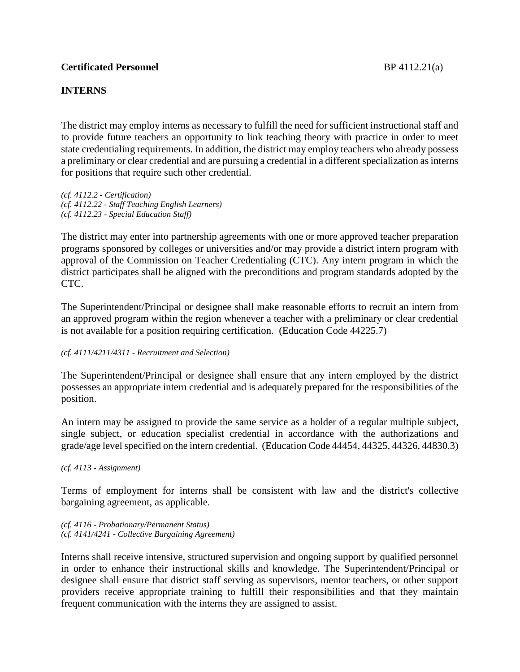# **Certificated Personnel** BP 4112.21(a)

# **INTERNS**

The district may employ interns as necessary to fulfill the need for sufficient instructional staff and to provide future teachers an opportunity to link teaching theory with practice in order to meet state credentialing requirements. In addition, the district may employ teachers who already possess a preliminary or clear credential and are pursuing a credential in a different specialization asinterns for positions that require such other credential.

*(cf. 4112.2 - Certification) (cf. 4112.22 - Staff Teaching English Learners) (cf. 4112.23 - Special Education Staff)*

The district may enter into partnership agreements with one or more approved teacher preparation programs sponsored by colleges or universities and/or may provide a district intern program with approval of the Commission on Teacher Credentialing (CTC). Any intern program in which the district participates shall be aligned with the preconditions and program standards adopted by the CTC.

The Superintendent/Principal or designee shall make reasonable efforts to recruit an intern from an approved program within the region whenever a teacher with a preliminary or clear credential is not available for a position requiring certification. (Education Code 44225.7)

#### *(cf. 4111/4211/4311 - Recruitment and Selection)*

The Superintendent/Principal or designee shall ensure that any intern employed by the district possesses an appropriate intern credential and is adequately prepared for the responsibilities of the position.

An intern may be assigned to provide the same service as a holder of a regular multiple subject, single subject, or education specialist credential in accordance with the authorizations and grade/age level specified on the intern credential. (Education Code 44454, 44325, 44326, 44830.3)

*(cf. 4113 - Assignment)*

Terms of employment for interns shall be consistent with law and the district's collective bargaining agreement, as applicable.

*(cf. 4116 - Probationary/Permanent Status) (cf. 4141/4241 - Collective Bargaining Agreement)*

Interns shall receive intensive, structured supervision and ongoing support by qualified personnel in order to enhance their instructional skills and knowledge. The Superintendent/Principal or designee shall ensure that district staff serving as supervisors, mentor teachers, or other support providers receive appropriate training to fulfill their responsibilities and that they maintain frequent communication with the interns they are assigned to assist.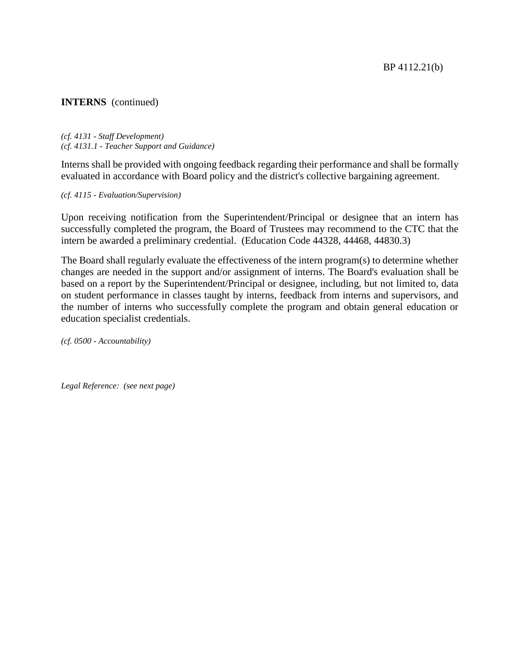## **INTERNS** (continued)

*(cf. 4131 - Staff Development) (cf. 4131.1 - Teacher Support and Guidance)*

Interns shall be provided with ongoing feedback regarding their performance and shall be formally evaluated in accordance with Board policy and the district's collective bargaining agreement.

*(cf. 4115 - Evaluation/Supervision)*

Upon receiving notification from the Superintendent/Principal or designee that an intern has successfully completed the program, the Board of Trustees may recommend to the CTC that the intern be awarded a preliminary credential. (Education Code 44328, 44468, 44830.3)

The Board shall regularly evaluate the effectiveness of the intern program(s) to determine whether changes are needed in the support and/or assignment of interns. The Board's evaluation shall be based on a report by the Superintendent/Principal or designee, including, but not limited to, data on student performance in classes taught by interns, feedback from interns and supervisors, and the number of interns who successfully complete the program and obtain general education or education specialist credentials.

*(cf. 0500 - Accountability)*

*Legal Reference: (see next page)*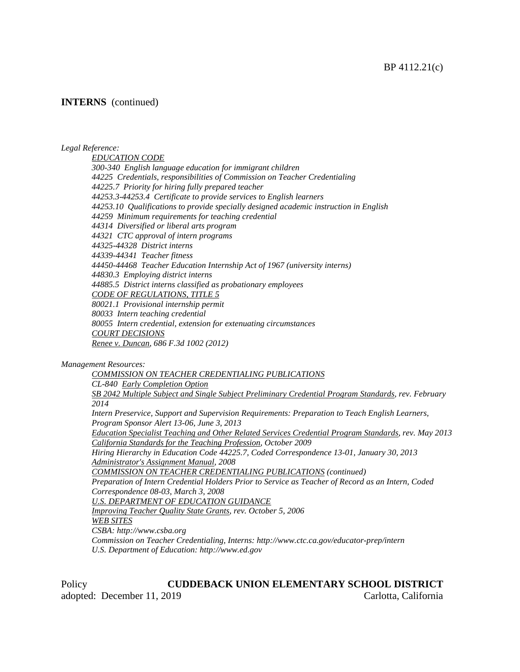#### **INTERNS** (continued)

#### *Legal Reference:*

*EDUCATION CODE 300-340 English language education for immigrant children 44225 Credentials, responsibilities of Commission on Teacher Credentialing 44225.7 Priority for hiring fully prepared teacher 44253.3-44253.4 Certificate to provide services to English learners 44253.10 Qualifications to provide specially designed academic instruction in English 44259 Minimum requirements for teaching credential 44314 Diversified or liberal arts program 44321 CTC approval of intern programs 44325-44328 District interns 44339-44341 Teacher fitness 44450-44468 Teacher Education Internship Act of 1967 (university interns) 44830.3 Employing district interns 44885.5 District interns classified as probationary employees CODE OF REGULATIONS, TITLE 5 80021.1 Provisional internship permit 80033 Intern teaching credential 80055 Intern credential, extension for extenuating circumstances COURT DECISIONS Renee v. Duncan, 686 F.3d 1002 (2012)*

*Management Resources:*

*COMMISSION ON TEACHER CREDENTIALING PUBLICATIONS CL-840 Early Completion Option SB 2042 Multiple Subject and Single Subject Preliminary Credential Program Standards, rev. February 2014 Intern Preservice, Support and Supervision Requirements: Preparation to Teach English Learners, Program Sponsor Alert 13-06, June 3, 2013 Education Specialist Teaching and Other Related Services Credential Program Standards, rev. May 2013 California Standards for the Teaching Profession, October 2009 Hiring Hierarchy in Education Code 44225.7, Coded Correspondence 13-01, January 30, 2013 Administrator's Assignment Manual, 2008 COMMISSION ON TEACHER CREDENTIALING PUBLICATIONS (continued) Preparation of Intern Credential Holders Prior to Service as Teacher of Record as an Intern, Coded Correspondence 08-03, March 3, 2008 U.S. DEPARTMENT OF EDUCATION GUIDANCE Improving Teacher Quality State Grants, rev. October 5, 2006 WEB SITES CSBA: http://www.csba.org Commission on Teacher Credentialing, Interns: http://www.ctc.ca.gov/educator-prep/intern U.S. Department of Education: http://www.ed.gov*

Policy **CUDDEBACK UNION ELEMENTARY SCHOOL DISTRICT** adopted: December 11, 2019 Carlotta, California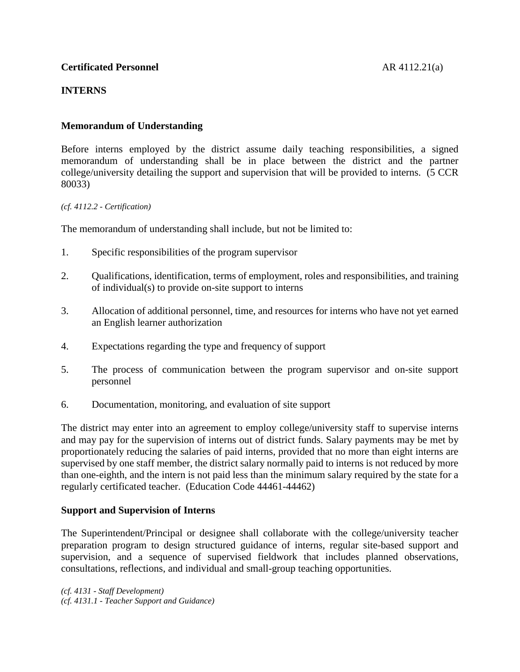# **Certificated Personnel** AR 4112.21(a)

# **INTERNS**

# **Memorandum of Understanding**

Before interns employed by the district assume daily teaching responsibilities, a signed memorandum of understanding shall be in place between the district and the partner college/university detailing the support and supervision that will be provided to interns. (5 CCR 80033)

#### *(cf. 4112.2 - Certification)*

The memorandum of understanding shall include, but not be limited to:

- 1. Specific responsibilities of the program supervisor
- 2. Qualifications, identification, terms of employment, roles and responsibilities, and training of individual(s) to provide on-site support to interns
- 3. Allocation of additional personnel, time, and resources for interns who have not yet earned an English learner authorization
- 4. Expectations regarding the type and frequency of support
- 5. The process of communication between the program supervisor and on-site support personnel
- 6. Documentation, monitoring, and evaluation of site support

The district may enter into an agreement to employ college/university staff to supervise interns and may pay for the supervision of interns out of district funds. Salary payments may be met by proportionately reducing the salaries of paid interns, provided that no more than eight interns are supervised by one staff member, the district salary normally paid to interns is not reduced by more than one-eighth, and the intern is not paid less than the minimum salary required by the state for a regularly certificated teacher. (Education Code 44461-44462)

## **Support and Supervision of Interns**

The Superintendent/Principal or designee shall collaborate with the college/university teacher preparation program to design structured guidance of interns, regular site-based support and supervision, and a sequence of supervised fieldwork that includes planned observations, consultations, reflections, and individual and small-group teaching opportunities.

*(cf. 4131 - Staff Development) (cf. 4131.1 - Teacher Support and Guidance)*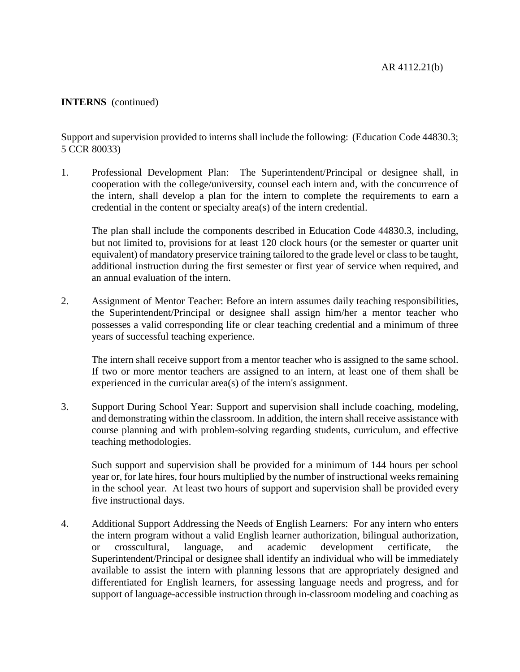AR 4112.21(b)

# **INTERNS** (continued)

Support and supervision provided to interns shall include the following: (Education Code 44830.3; 5 CCR 80033)

1. Professional Development Plan: The Superintendent/Principal or designee shall, in cooperation with the college/university, counsel each intern and, with the concurrence of the intern, shall develop a plan for the intern to complete the requirements to earn a credential in the content or specialty area(s) of the intern credential.

The plan shall include the components described in Education Code 44830.3, including, but not limited to, provisions for at least 120 clock hours (or the semester or quarter unit equivalent) of mandatory preservice training tailored to the grade level or classto be taught, additional instruction during the first semester or first year of service when required, and an annual evaluation of the intern.

2. Assignment of Mentor Teacher: Before an intern assumes daily teaching responsibilities, the Superintendent/Principal or designee shall assign him/her a mentor teacher who possesses a valid corresponding life or clear teaching credential and a minimum of three years of successful teaching experience.

The intern shall receive support from a mentor teacher who is assigned to the same school. If two or more mentor teachers are assigned to an intern, at least one of them shall be experienced in the curricular area(s) of the intern's assignment.

3. Support During School Year: Support and supervision shall include coaching, modeling, and demonstrating within the classroom. In addition, the intern shall receive assistance with course planning and with problem-solving regarding students, curriculum, and effective teaching methodologies.

Such support and supervision shall be provided for a minimum of 144 hours per school year or, for late hires, four hours multiplied by the number of instructional weeks remaining in the school year. At least two hours of support and supervision shall be provided every five instructional days.

4. Additional Support Addressing the Needs of English Learners: For any intern who enters the intern program without a valid English learner authorization, bilingual authorization, or crosscultural, language, and academic development certificate, the Superintendent/Principal or designee shall identify an individual who will be immediately available to assist the intern with planning lessons that are appropriately designed and differentiated for English learners, for assessing language needs and progress, and for support of language-accessible instruction through in-classroom modeling and coaching as